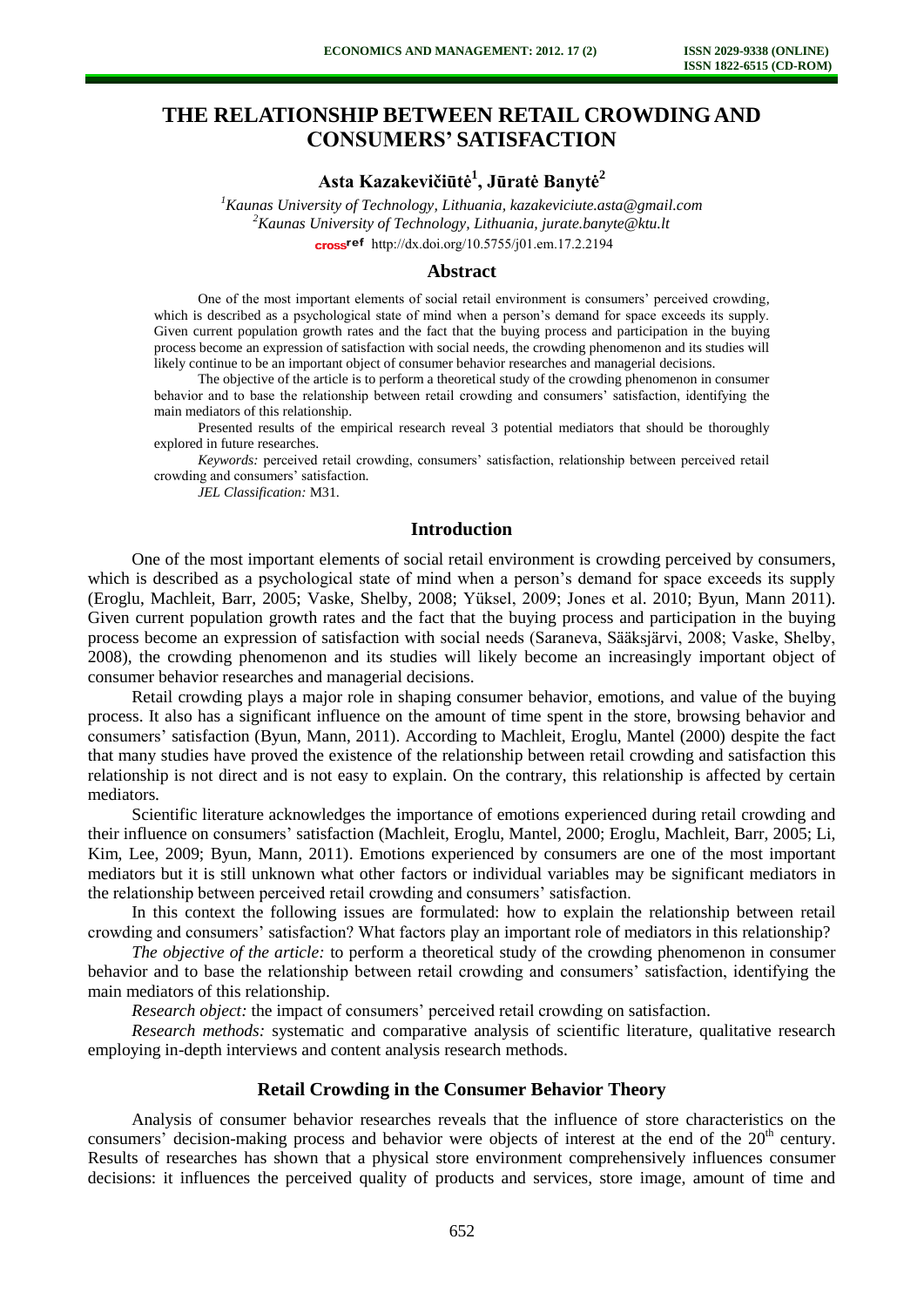# **THE RELATIONSHIP BETWEEN RETAIL CROWDING AND CONSUMERS' SATISFACTION**

# **Asta Kazakevičiūtė<sup>1</sup> , Jūratė Banytė<sup>2</sup>**

*<sup>1</sup>Kaunas University of Technology, Lithuania, kazakeviciute.asta@gmail.com <sup>2</sup>Kaunas University of Technology, Lithuania, jurate.banyte@ktu.lt*  cross<sup>ref</sup> [http://dx.doi.org/10.5755/j01.e](http://dx.doi.org/10.5755/j01.em.17.2.2194)m.17.2.2194

### **Abstract**

One of the most important elements of social retail environment is consumers' perceived crowding, which is described as a psychological state of mind when a person's demand for space exceeds its supply. Given current population growth rates and the fact that the buying process and participation in the buying process become an expression of satisfaction with social needs, the crowding phenomenon and its studies will likely continue to be an important object of consumer behavior researches and managerial decisions.

The objective of the article is to perform a theoretical study of the crowding phenomenon in consumer behavior and to base the relationship between retail crowding and consumers' satisfaction, identifying the main mediators of this relationship.

Presented results of the empirical research reveal 3 potential mediators that should be thoroughly explored in future researches.

*Keywords:* perceived retail crowding, consumers' satisfaction, relationship between perceived retail crowding and consumers' satisfaction.

*JEL Classification:* M31.

## **Introduction**

One of the most important elements of social retail environment is crowding perceived by consumers, which is described as a psychological state of mind when a person's demand for space exceeds its supply (Eroglu, Machleit, Barr, 2005; Vaske, Shelby, 2008; Yüksel, 2009; Jones et al. 2010; Byun, Mann 2011). Given current population growth rates and the fact that the buying process and participation in the buying process become an expression of satisfaction with social needs (Saraneva, Sääksjärvi, 2008; Vaske, Shelby, 2008), the crowding phenomenon and its studies will likely become an increasingly important object of consumer behavior researches and managerial decisions.

Retail crowding plays a major role in shaping consumer behavior, emotions, and value of the buying process. It also has a significant influence on the amount of time spent in the store, browsing behavior and consumers' satisfaction (Byun, Mann, 2011). According to Machleit, Eroglu, Mantel (2000) despite the fact that many studies have proved the existence of the relationship between retail crowding and satisfaction this relationship is not direct and is not easy to explain. On the contrary, this relationship is affected by certain mediators.

Scientific literature acknowledges the importance of emotions experienced during retail crowding and their influence on consumers' satisfaction (Machleit, Eroglu, Mantel, 2000; Eroglu, Machleit, Barr, 2005; Li, Kim, Lee, 2009; Byun, Mann, 2011). Emotions experienced by consumers are one of the most important mediators but it is still unknown what other factors or individual variables may be significant mediators in the relationship between perceived retail crowding and consumers' satisfaction.

In this context the following issues are formulated: how to explain the relationship between retail crowding and consumers' satisfaction? What factors play an important role of mediators in this relationship?

*The objective of the article:* to perform a theoretical study of the crowding phenomenon in consumer behavior and to base the relationship between retail crowding and consumers' satisfaction, identifying the main mediators of this relationship.

*Research object:* the impact of consumers' perceived retail crowding on satisfaction.

*Research methods:* systematic and comparative analysis of scientific literature, qualitative research employing in-depth interviews and content analysis research methods.

### **Retail Crowding in the Consumer Behavior Theory**

Analysis of consumer behavior researches reveals that the influence of store characteristics on the consumers' decision-making process and behavior were objects of interest at the end of the  $20<sup>th</sup>$  century. Results of researches has shown that a physical store environment comprehensively influences consumer decisions: it influences the perceived quality of products and services, store image, amount of time and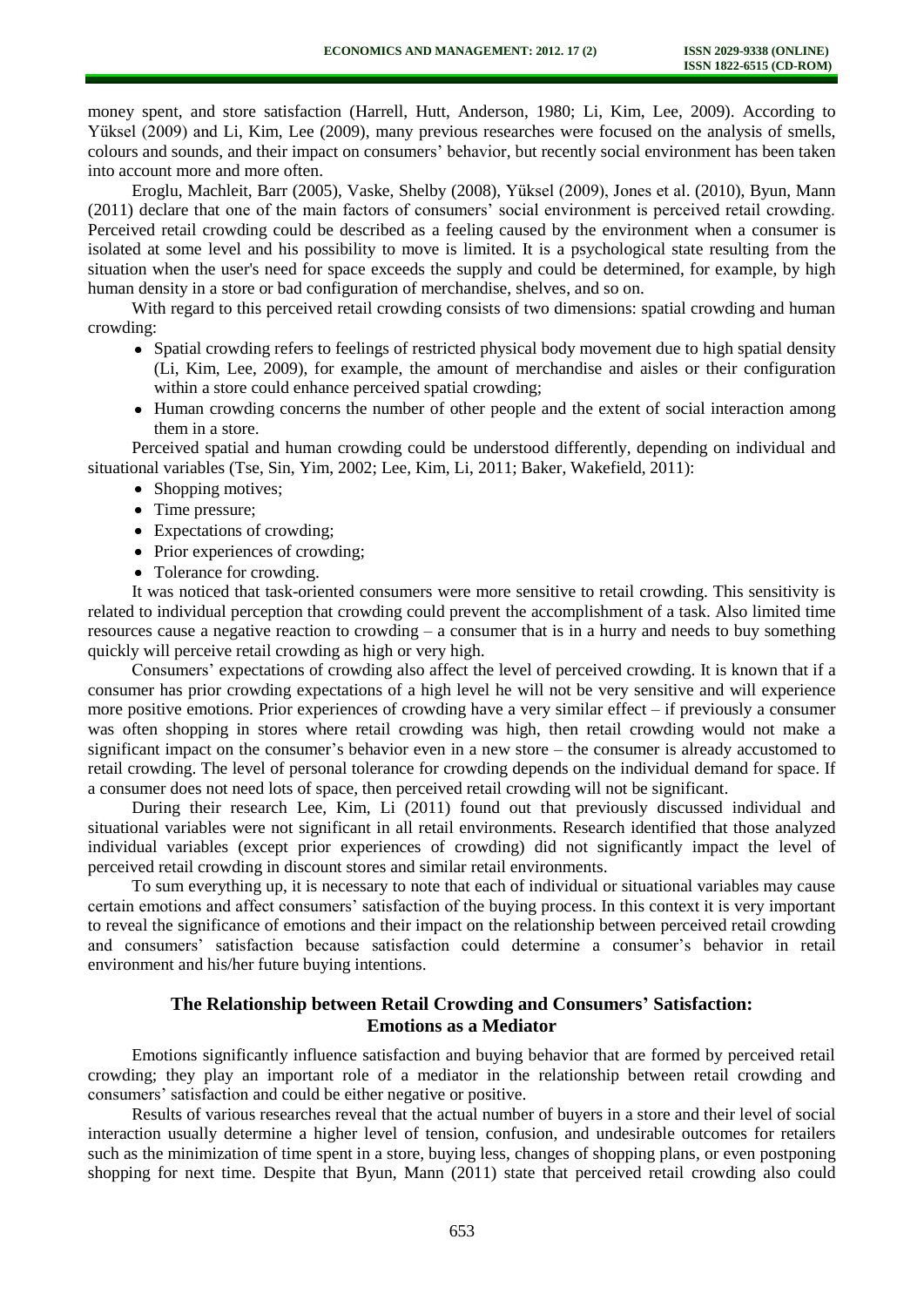money spent, and store satisfaction (Harrell, Hutt, Anderson, 1980; Li, Kim, Lee, 2009). According to Yüksel (2009) and Li, Kim, Lee (2009), many previous researches were focused on the analysis of smells, colours and sounds, and their impact on consumers' behavior, but recently social environment has been taken into account more and more often.

Eroglu, Machleit, Barr (2005), Vaske, Shelby (2008), Yüksel (2009), Jones et al. (2010), Byun, Mann (2011) declare that one of the main factors of consumers' social environment is perceived retail crowding. Perceived retail crowding could be described as a feeling caused by the environment when a consumer is isolated at some level and his possibility to move is limited. It is a psychological state resulting from the situation when the user's need for space exceeds the supply and could be determined, for example, by high human density in a store or bad configuration of merchandise, shelves, and so on.

With regard to this perceived retail crowding consists of two dimensions: spatial crowding and human crowding:

- Spatial crowding refers to feelings of restricted physical body movement due to high spatial density (Li, Kim, Lee, 2009), for example, the amount of merchandise and aisles or their configuration within a store could enhance perceived spatial crowding;
- Human crowding concerns the number of other people and the extent of social interaction among them in a store.

Perceived spatial and human crowding could be understood differently, depending on individual and situational variables (Tse, Sin, Yim, 2002; Lee, Kim, Li, 2011; Baker, Wakefield, 2011):

- Shopping motives;
- Time pressure;
- Expectations of crowding;
- Prior experiences of crowding;
- Tolerance for crowding.

It was noticed that task-oriented consumers were more sensitive to retail crowding. This sensitivity is related to individual perception that crowding could prevent the accomplishment of a task. Also limited time resources cause a negative reaction to crowding – a consumer that is in a hurry and needs to buy something quickly will perceive retail crowding as high or very high.

Consumers' expectations of crowding also affect the level of perceived crowding. It is known that if a consumer has prior crowding expectations of a high level he will not be very sensitive and will experience more positive emotions. Prior experiences of crowding have a very similar effect – if previously a consumer was often shopping in stores where retail crowding was high, then retail crowding would not make a significant impact on the consumer's behavior even in a new store – the consumer is already accustomed to retail crowding. The level of personal tolerance for crowding depends on the individual demand for space. If a consumer does not need lots of space, then perceived retail crowding will not be significant.

During their research Lee, Kim, Li (2011) found out that previously discussed individual and situational variables were not significant in all retail environments. Research identified that those analyzed individual variables (except prior experiences of crowding) did not significantly impact the level of perceived retail crowding in discount stores and similar retail environments.

To sum everything up, it is necessary to note that each of individual or situational variables may cause certain emotions and affect consumers' satisfaction of the buying process. In this context it is very important to reveal the significance of emotions and their impact on the relationship between perceived retail crowding and consumers' satisfaction because satisfaction could determine a consumer's behavior in retail environment and his/her future buying intentions.

## **The Relationship between Retail Crowding and Consumers' Satisfaction: Emotions as a Mediator**

Emotions significantly influence satisfaction and buying behavior that are formed by perceived retail crowding; they play an important role of a mediator in the relationship between retail crowding and consumers' satisfaction and could be either negative or positive.

Results of various researches reveal that the actual number of buyers in a store and their level of social interaction usually determine a higher level of tension, confusion, and undesirable outcomes for retailers such as the minimization of time spent in a store, buying less, changes of shopping plans, or even postponing shopping for next time. Despite that Byun, Mann (2011) state that perceived retail crowding also could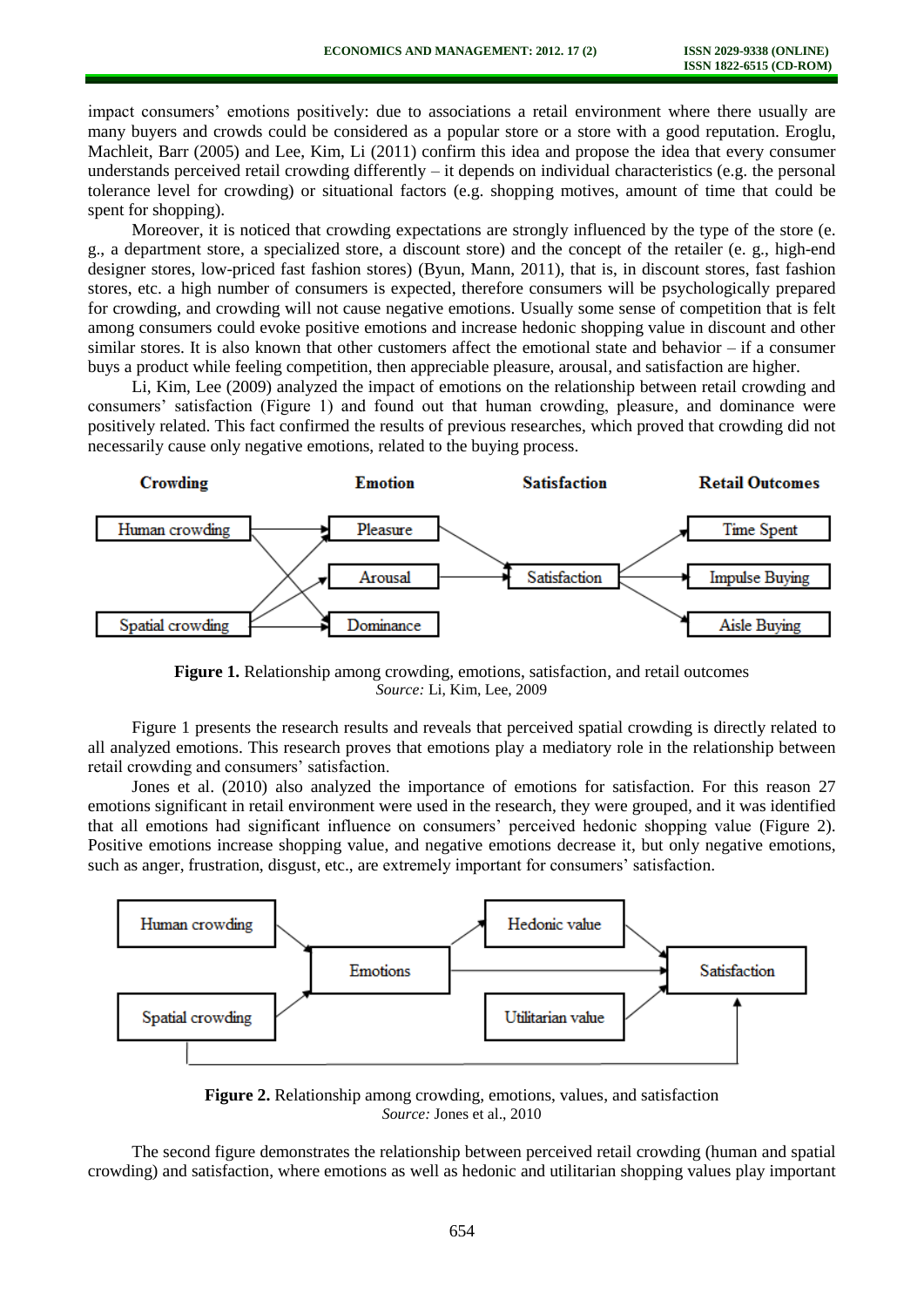impact consumers' emotions positively: due to associations a retail environment where there usually are many buyers and crowds could be considered as a popular store or a store with a good reputation. Eroglu, Machleit, Barr (2005) and Lee, Kim, Li (2011) confirm this idea and propose the idea that every consumer understands perceived retail crowding differently – it depends on individual characteristics (e.g. the personal tolerance level for crowding) or situational factors (e.g. shopping motives, amount of time that could be spent for shopping).

Moreover, it is noticed that crowding expectations are strongly influenced by the type of the store (e. g., a department store, a specialized store, a discount store) and the concept of the retailer (e. g., high-end designer stores, low-priced fast fashion stores) (Byun, Mann, 2011), that is, in discount stores, fast fashion stores, etc. a high number of consumers is expected, therefore consumers will be psychologically prepared for crowding, and crowding will not cause negative emotions. Usually some sense of competition that is felt among consumers could evoke positive emotions and increase hedonic shopping value in discount and other similar stores. It is also known that other customers affect the emotional state and behavior – if a consumer buys a product while feeling competition, then appreciable pleasure, arousal, and satisfaction are higher.

Li, Kim, Lee (2009) analyzed the impact of emotions on the relationship between retail crowding and consumers' satisfaction (Figure 1) and found out that human crowding, pleasure, and dominance were positively related. This fact confirmed the results of previous researches, which proved that crowding did not necessarily cause only negative emotions, related to the buying process.



**Figure 1.** Relationship among crowding, emotions, satisfaction, and retail outcomes *Source:* Li, Kim, Lee, 2009

Figure 1 presents the research results and reveals that perceived spatial crowding is directly related to all analyzed emotions. This research proves that emotions play a mediatory role in the relationship between retail crowding and consumers' satisfaction.

Jones et al. (2010) also analyzed the importance of emotions for satisfaction. For this reason 27 emotions significant in retail environment were used in the research, they were grouped, and it was identified that all emotions had significant influence on consumers' perceived hedonic shopping value (Figure 2). Positive emotions increase shopping value, and negative emotions decrease it, but only negative emotions, such as anger, frustration, disgust, etc., are extremely important for consumers' satisfaction.



**Figure 2.** Relationship among crowding, emotions, values, and satisfaction *Source:* Jones et al., 2010

The second figure demonstrates the relationship between perceived retail crowding (human and spatial crowding) and satisfaction, where emotions as well as hedonic and utilitarian shopping values play important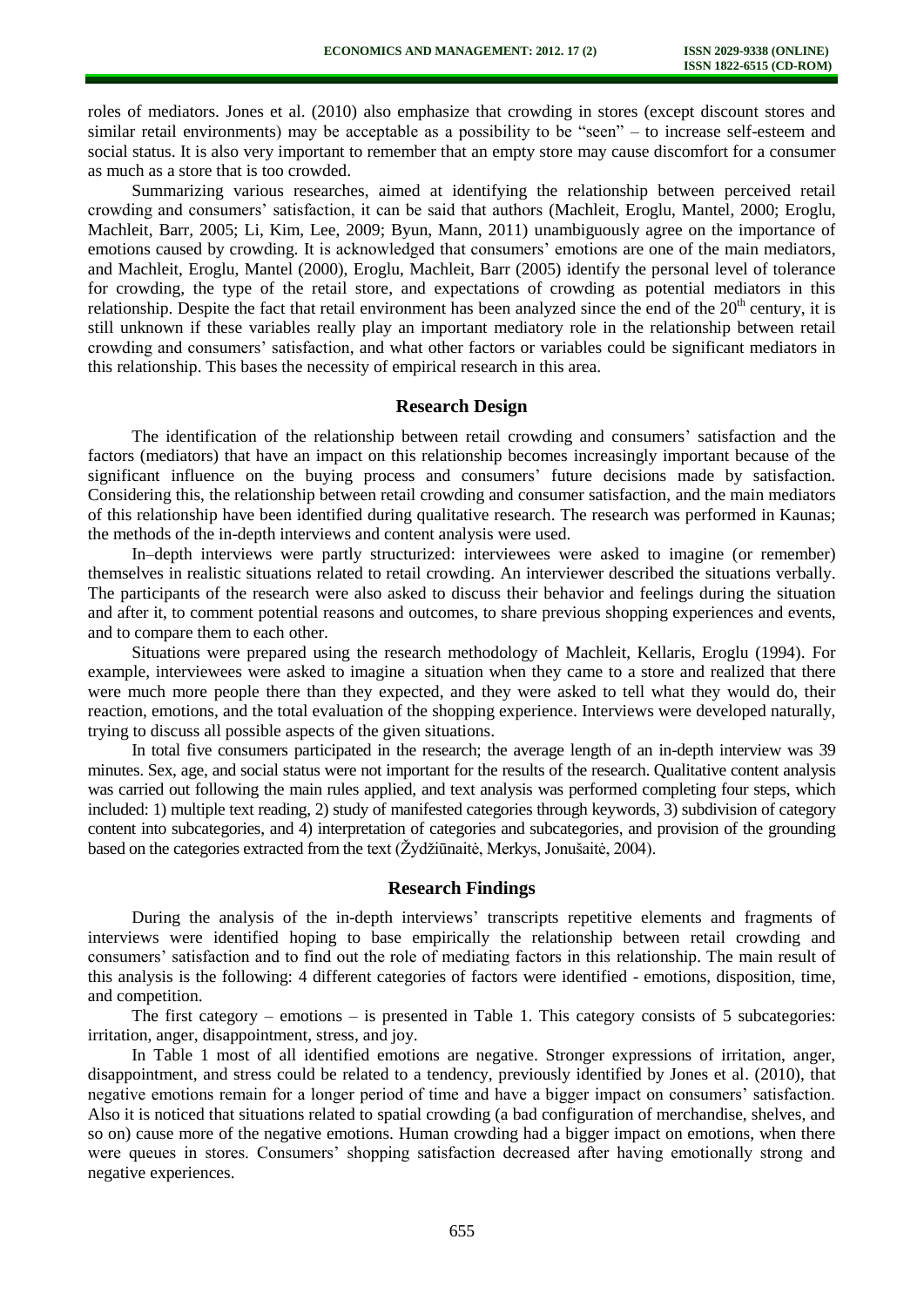roles of mediators. Jones et al. (2010) also emphasize that crowding in stores (except discount stores and similar retail environments) may be acceptable as a possibility to be "seen" – to increase self-esteem and social status. It is also very important to remember that an empty store may cause discomfort for a consumer as much as a store that is too crowded.

Summarizing various researches, aimed at identifying the relationship between perceived retail crowding and consumers' satisfaction, it can be said that authors (Machleit, Eroglu, Mantel, 2000; Eroglu, Machleit, Barr, 2005; Li, Kim, Lee, 2009; Byun, Mann, 2011) unambiguously agree on the importance of emotions caused by crowding. It is acknowledged that consumers' emotions are one of the main mediators, and Machleit, Eroglu, Mantel (2000), Eroglu, Machleit, Barr (2005) identify the personal level of tolerance for crowding, the type of the retail store, and expectations of crowding as potential mediators in this relationship. Despite the fact that retail environment has been analyzed since the end of the  $20<sup>th</sup>$  century, it is still unknown if these variables really play an important mediatory role in the relationship between retail crowding and consumers' satisfaction, and what other factors or variables could be significant mediators in this relationship. This bases the necessity of empirical research in this area.

### **Research Design**

The identification of the relationship between retail crowding and consumers' satisfaction and the factors (mediators) that have an impact on this relationship becomes increasingly important because of the significant influence on the buying process and consumers' future decisions made by satisfaction. Considering this, the relationship between retail crowding and consumer satisfaction, and the main mediators of this relationship have been identified during qualitative research. The research was performed in Kaunas; the methods of the in-depth interviews and content analysis were used.

In–depth interviews were partly structurized: interviewees were asked to imagine (or remember) themselves in realistic situations related to retail crowding. An interviewer described the situations verbally. The participants of the research were also asked to discuss their behavior and feelings during the situation and after it, to comment potential reasons and outcomes, to share previous shopping experiences and events, and to compare them to each other.

Situations were prepared using the research methodology of Machleit, Kellaris, Eroglu (1994). For example, interviewees were asked to imagine a situation when they came to a store and realized that there were much more people there than they expected, and they were asked to tell what they would do, their reaction, emotions, and the total evaluation of the shopping experience. Interviews were developed naturally, trying to discuss all possible aspects of the given situations.

In total five consumers participated in the research; the average length of an in-depth interview was 39 minutes. Sex, age, and social status were not important for the results of the research. Qualitative content analysis was carried out following the main rules applied, and text analysis was performed completing four steps, which included: 1) multiple text reading, 2) study of manifested categories through keywords, 3) subdivision of category content into subcategories, and 4) interpretation of categories and subcategories, and provision of the grounding based on the categories extracted from the text (Žydžiūnaitė, Merkys, Jonušaitė, 2004).

### **Research Findings**

During the analysis of the in-depth interviews' transcripts repetitive elements and fragments of interviews were identified hoping to base empirically the relationship between retail crowding and consumers' satisfaction and to find out the role of mediating factors in this relationship. The main result of this analysis is the following: 4 different categories of factors were identified - emotions, disposition, time, and competition.

The first category – emotions – is presented in Table 1. This category consists of 5 subcategories: irritation, anger, disappointment, stress, and joy.

In Table 1 most of all identified emotions are negative. Stronger expressions of irritation, anger, disappointment, and stress could be related to a tendency, previously identified by Jones et al. (2010), that negative emotions remain for a longer period of time and have a bigger impact on consumers' satisfaction. Also it is noticed that situations related to spatial crowding (a bad configuration of merchandise, shelves, and so on) cause more of the negative emotions. Human crowding had a bigger impact on emotions, when there were queues in stores. Consumers' shopping satisfaction decreased after having emotionally strong and negative experiences.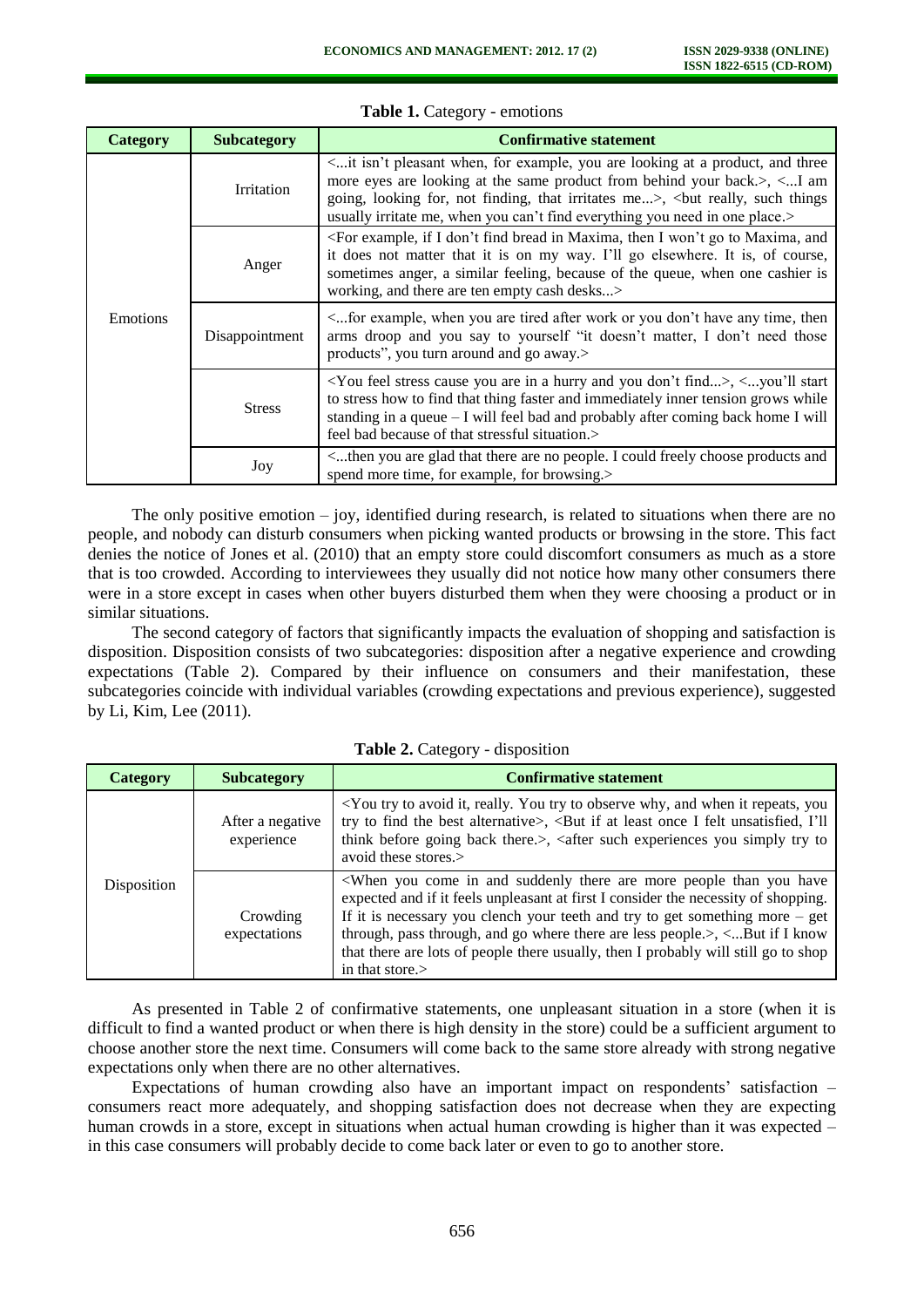| Category        | <b>Subcategory</b> | <b>Confirmative statement</b>                                                                                                                                                                                                                                                                                                                                                                    |
|-----------------|--------------------|--------------------------------------------------------------------------------------------------------------------------------------------------------------------------------------------------------------------------------------------------------------------------------------------------------------------------------------------------------------------------------------------------|
| <b>Emotions</b> | <b>Irritation</b>  | <it a="" and="" are="" at="" example,="" for="" isn't="" looking="" pleasant="" product,="" three<br="" when,="" you="">more eyes are looking at the same product from behind your back.&gt;, <i am<br="">going, looking for, not finding, that irritates me&gt;, <br/> <br/>but really, such things<br/>usually irritate me, when you can't find everything you need in one place.&gt;</i></it> |
|                 | Anger              | <for and<br="" bread="" don't="" example,="" find="" go="" i="" if="" in="" maxima,="" then="" to="" won't="">it does not matter that it is on my way. I'll go elsewhere. It is, of course,<br/>sometimes anger, a similar feeling, because of the queue, when one cashier is<br/>working, and there are ten empty cash desks&gt;</for>                                                          |
|                 | Disappointment     | <for after="" any="" are="" don't="" example,="" have="" or="" then<br="" time,="" tired="" when="" work="" you="">arms droop and you say to yourself "it doesn't matter, I don't need those<br/>products", you turn around and go away.&gt;</for>                                                                                                                                               |
|                 | <b>Stress</b>      | <you a="" and="" are="" cause="" don't="" feel="" find="" hurry="" in="" stress="" you="">, <you'll start<br="">to stress how to find that thing faster and immediately inner tension grows while<br/>standing in a queue <math>-I</math> will feel bad and probably after coming back home I will<br/>feel bad because of that stressful situation.&gt;</you'll></you>                          |
|                 | Joy                | <then and<br="" are="" choose="" could="" freely="" glad="" i="" no="" people.="" products="" that="" there="" you="">spend more time, for example, for browsing.&gt;</then>                                                                                                                                                                                                                     |

**Table 1.** Category - emotions

The only positive emotion  $-$  joy, identified during research, is related to situations when there are no people, and nobody can disturb consumers when picking wanted products or browsing in the store. This fact denies the notice of Jones et al. (2010) that an empty store could discomfort consumers as much as a store that is too crowded. According to interviewees they usually did not notice how many other consumers there were in a store except in cases when other buyers disturbed them when they were choosing a product or in similar situations.

The second category of factors that significantly impacts the evaluation of shopping and satisfaction is disposition. Disposition consists of two subcategories: disposition after a negative experience and crowding expectations (Table 2). Compared by their influence on consumers and their manifestation, these subcategories coincide with individual variables (crowding expectations and previous experience), suggested by Li, Kim, Lee (2011).

| <b>Category</b> | <b>Subcategory</b>             | <b>Confirmative statement</b>                                                                                                                                                                                                                                                                                                                                                                                                                                                                                           |
|-----------------|--------------------------------|-------------------------------------------------------------------------------------------------------------------------------------------------------------------------------------------------------------------------------------------------------------------------------------------------------------------------------------------------------------------------------------------------------------------------------------------------------------------------------------------------------------------------|
| Disposition     | After a negative<br>experience | <you and="" avoid="" it="" it,="" observe="" really.="" repeats,="" to="" try="" when="" why,="" you="" you<br="">try to find the best alternative&gt;, <but at="" felt="" i="" i'll<br="" if="" least="" once="" unsatisfied,="">think before going back there.&gt;, <after experiences="" simply="" such="" to<br="" try="" you="">avoid these stores.&gt;</after></but></you>                                                                                                                                        |
|                 | Crowding<br>expectations       | <when and="" are="" come="" have<br="" in="" more="" people="" suddenly="" than="" there="" you="">expected and if it feels unpleasant at first I consider the necessity of shopping.<br/>If it is necessary you clench your teeth and try to get something more <math>-</math> get<br/>through, pass through, and go where there are less people.<math>&gt;</math>, <math>\lt</math>But if I know<br/>that there are lots of people there usually, then I probably will still go to shop<br/>in that store.&gt;</when> |

|  |  | Table 2. Category - disposition |
|--|--|---------------------------------|
|--|--|---------------------------------|

As presented in Table 2 of confirmative statements, one unpleasant situation in a store (when it is difficult to find a wanted product or when there is high density in the store) could be a sufficient argument to choose another store the next time. Consumers will come back to the same store already with strong negative expectations only when there are no other alternatives.

Expectations of human crowding also have an important impact on respondents' satisfaction – consumers react more adequately, and shopping satisfaction does not decrease when they are expecting human crowds in a store, except in situations when actual human crowding is higher than it was expected – in this case consumers will probably decide to come back later or even to go to another store.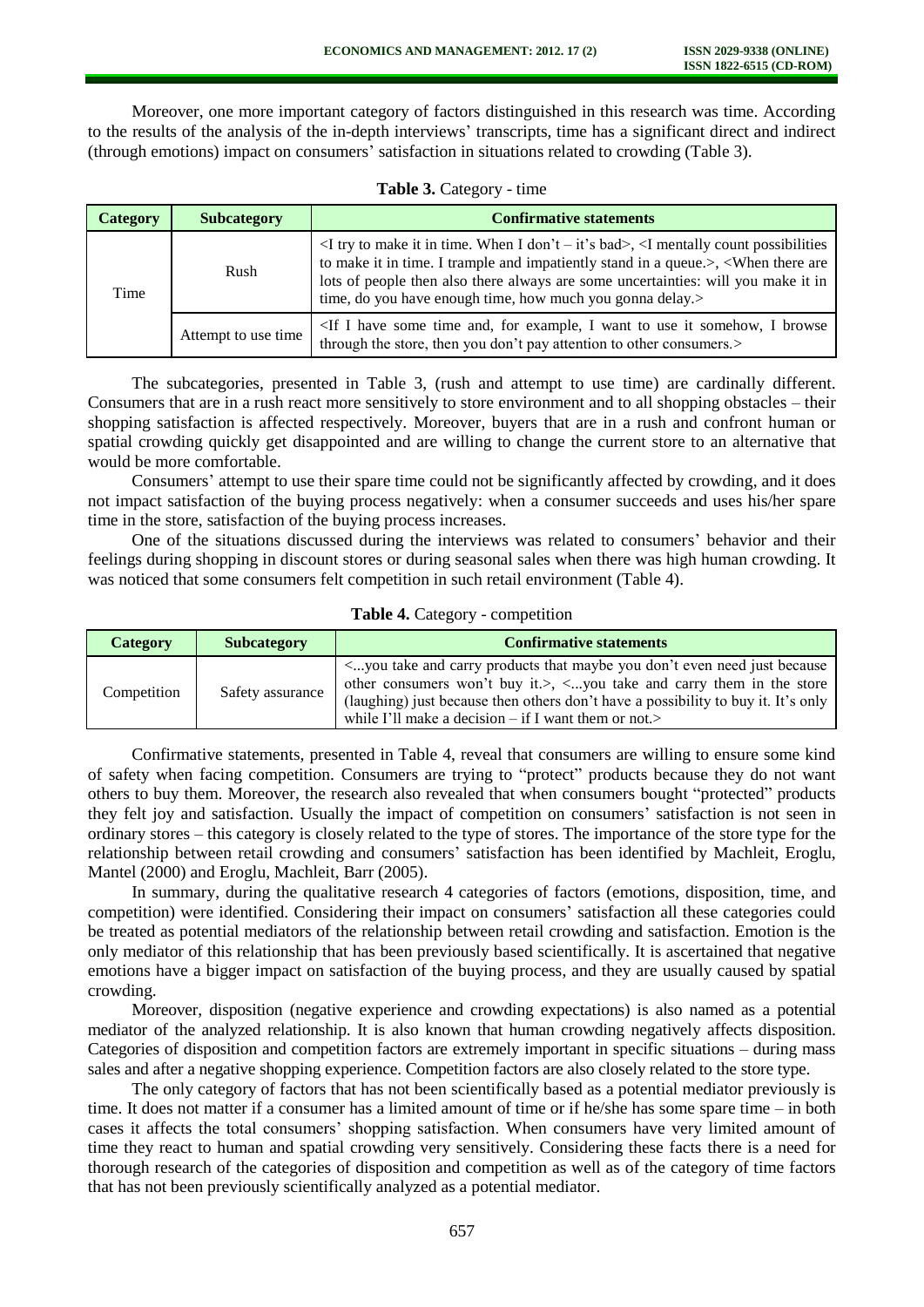Moreover, one more important category of factors distinguished in this research was time. According to the results of the analysis of the in-depth interviews' transcripts, time has a significant direct and indirect (through emotions) impact on consumers' satisfaction in situations related to crowding (Table 3).

| <b>Category</b> | <b>Subcategory</b>  | <b>Confirmative statements</b>                                                                                                                                                                                                                                                                                                                           |
|-----------------|---------------------|----------------------------------------------------------------------------------------------------------------------------------------------------------------------------------------------------------------------------------------------------------------------------------------------------------------------------------------------------------|
| Time            | Rush                | $\leq$ I try to make it in time. When I don't – it's bad>, $\leq$ I mentally count possibilities<br>to make it in time. I trample and impatiently stand in a queue.>, <when are<br="" there="">lots of people then also there always are some uncertainties: will you make it in<br/>time, do you have enough time, how much you gonna delay.&gt;</when> |
|                 | Attempt to use time | <if and,="" browse<br="" example,="" for="" have="" i="" it="" some="" somehow,="" time="" to="" use="" want="">through the store, then you don't pay attention to other consumers.&gt;</if>                                                                                                                                                             |

**Table 3.** Category - time

The subcategories, presented in Table 3, (rush and attempt to use time) are cardinally different. Consumers that are in a rush react more sensitively to store environment and to all shopping obstacles – their shopping satisfaction is affected respectively. Moreover, buyers that are in a rush and confront human or spatial crowding quickly get disappointed and are willing to change the current store to an alternative that would be more comfortable.

Consumers' attempt to use their spare time could not be significantly affected by crowding, and it does not impact satisfaction of the buying process negatively: when a consumer succeeds and uses his/her spare time in the store, satisfaction of the buying process increases.

One of the situations discussed during the interviews was related to consumers' behavior and their feelings during shopping in discount stores or during seasonal sales when there was high human crowding. It was noticed that some consumers felt competition in such retail environment (Table 4).

| Table 4. Category - competition |
|---------------------------------|
|                                 |

| <b>Category</b> | <b>Subcategory</b> | <b>Confirmative statements</b>                                                                                                                                                                                                                                                                                                                                                            |
|-----------------|--------------------|-------------------------------------------------------------------------------------------------------------------------------------------------------------------------------------------------------------------------------------------------------------------------------------------------------------------------------------------------------------------------------------------|
| Competition     | Safety assurance   | <you and="" because<br="" carry="" don't="" even="" just="" maybe="" need="" products="" take="" that="" you="">other consumers won't buy it.&gt;, <math>\lt</math>you take and carry them in the store<br/>(laughing) just because then others don't have a possibility to buy it. It's only<br/>while I'll make a decision <math>-</math> if I want them or not.<math>&gt;</math></you> |

Confirmative statements, presented in Table 4, reveal that consumers are willing to ensure some kind of safety when facing competition. Consumers are trying to "protect" products because they do not want others to buy them. Moreover, the research also revealed that when consumers bought "protected" products they felt joy and satisfaction. Usually the impact of competition on consumers' satisfaction is not seen in ordinary stores – this category is closely related to the type of stores. The importance of the store type for the relationship between retail crowding and consumers' satisfaction has been identified by Machleit, Eroglu, Mantel (2000) and Eroglu, Machleit, Barr (2005).

In summary, during the qualitative research 4 categories of factors (emotions, disposition, time, and competition) were identified. Considering their impact on consumers' satisfaction all these categories could be treated as potential mediators of the relationship between retail crowding and satisfaction. Emotion is the only mediator of this relationship that has been previously based scientifically. It is ascertained that negative emotions have a bigger impact on satisfaction of the buying process, and they are usually caused by spatial crowding.

Moreover, disposition (negative experience and crowding expectations) is also named as a potential mediator of the analyzed relationship. It is also known that human crowding negatively affects disposition. Categories of disposition and competition factors are extremely important in specific situations – during mass sales and after a negative shopping experience. Competition factors are also closely related to the store type.

The only category of factors that has not been scientifically based as a potential mediator previously is time. It does not matter if a consumer has a limited amount of time or if he/she has some spare time – in both cases it affects the total consumers' shopping satisfaction. When consumers have very limited amount of time they react to human and spatial crowding very sensitively. Considering these facts there is a need for thorough research of the categories of disposition and competition as well as of the category of time factors that has not been previously scientifically analyzed as a potential mediator.